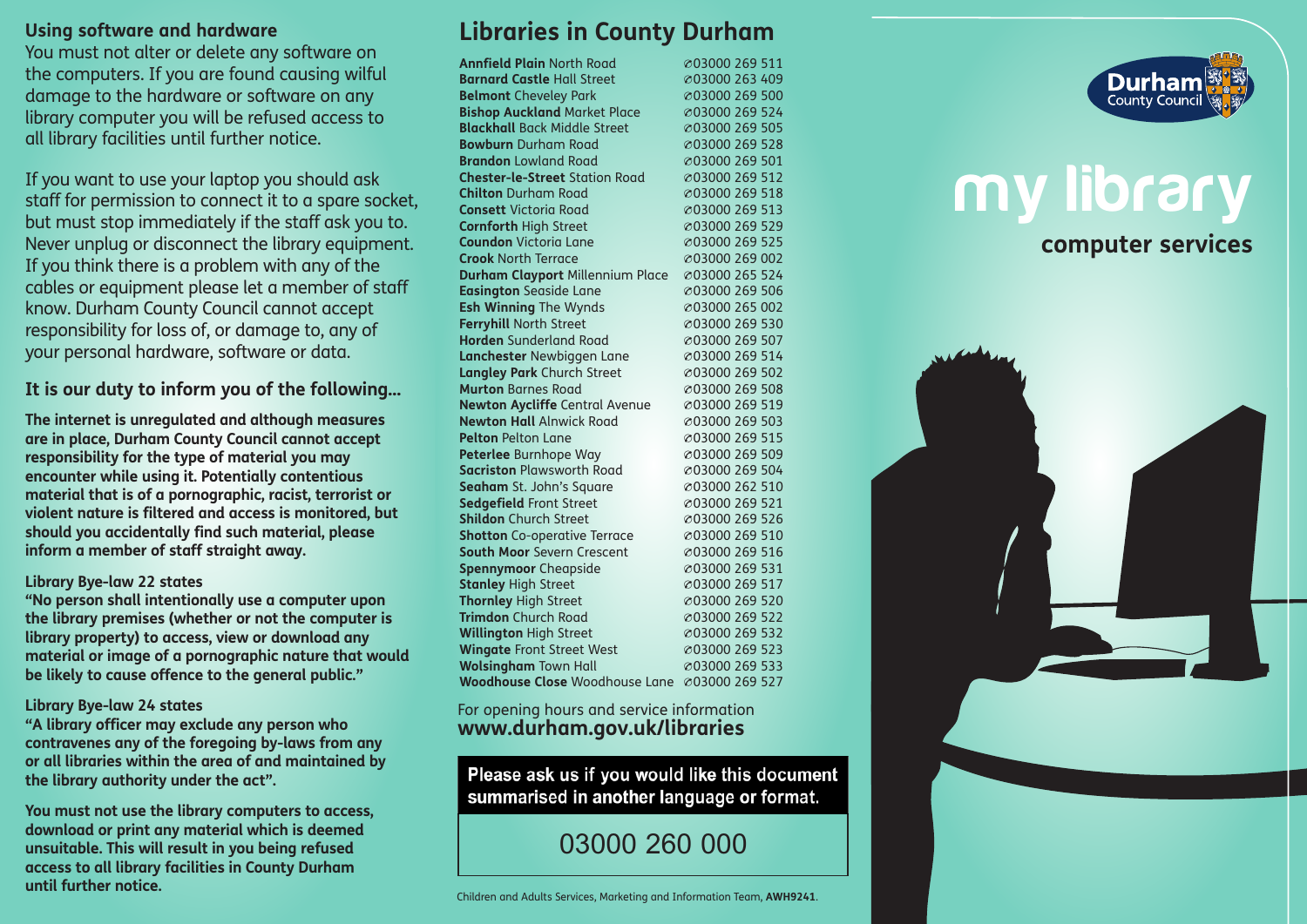#### **Using software and hardware**

You must not alter or delete any software on the computers. If you are found causing wilful damage to the hardware or software on any library computer you will be refused access to all library facilities until further notice.

If you want to use your laptop you should ask staff for permission to connect it to a spare socket, but must stop immediately if the staff ask you to. Never unplug or disconnect the library equipment. If you think there is a problem with any of the cables or equipment please let a member of staff know. Durham County Council cannot accept responsibility for loss of, or damage to, any of your personal hardware, software or data.

#### **It is our duty to inform you of the following…**

**The internet is unregulated and although measures are in place, Durham County Council cannot accept responsibility for the type of material you may encounter while using it. Potentially contentious material that is of a pornographic, racist, terrorist or violent nature is filtered and access is monitored, but should you accidentally find such material, please inform a member of staff straight away.**

#### **Library Bye-law 22 states**

**"No person shall intentionally use a computer upon the library premises (whether or not the computer is library property) to access, view or download any material or image of a pornographic nature that would be likely to cause offence to the general public."**

#### **Library Bye-law 24 states**

**"A library officer may exclude any person who contravenes any of the foregoing by-laws from any or all libraries within the area of and maintained by the library authority under the act".**

**You must not use the library computers to access, download or print any material which is deemed unsuitable. This will result in you being refused access to all library facilities in County Durham until further notice.**

# **Libraries in County Durham**

**Annfield Plain** North Road  $\alpha$ 03000 269 511 **Barnard Castle** Hall Street  $\oslash$  03000 263 409 **Belmont** Cheveley Park  $\oslash$  03000 269 500 **Bishop Auckland** Market Place  $\infty$ 03000 269 524 **Blackhall** Back Middle Street @03000 269 505 **Bowburn** Durham Road  $\begin{array}{r} \circ 03000269528 \\ \text{Brandon} 1 \text{ owland Rod} \end{array}$  03000 269 501 **Brandon** Lowland Road **Chester-le-Street** Station Road  $\degree$  @03000 269 512 **Chilton** Durham Road  $\alpha$ 03000 269 518 **Consett** Victoria Road  $\oslash$  03000 269 513 **Cornforth** High Street  $\oslash$  03000 269 529 **Coundon** Victoria Lane  $\alpha$ 03000 269 525 **Crook** North Terrace  $\alpha$ 03000 269 002 **Durham Clayport** Millennium Place w03000 265 524 **Easington** Seaside Lane  $\infty$ 03000 269 506 **Esh Winning** The Wynds  $\infty$ 03000 265 002 **Ferryhill** North Street  $\oslash$  03000 269 530 **Horden** Sunderland Road  $\oslash$  03000 269 507 **Lanchester** Newbiggen Lane  $\infty$ 03000 269 514 **Langley Park** Church Street  $\infty$ 03000 269 502 **Murton** Barnes Road  $\oslash$  03000 269 508 **Newton Aycliffe** Central Avenue  $\infty$ 03000 269 519 **Newton Hall** Alnwick Road  $\oslash$  03000 269 503 **Pelton** Pelton Lane **was a constructed** was a constructed with  $\infty$ 03000 269 515 **Peterlee** Burnhope Way  $\oslash$  03000 269 509 **Sacriston** Plawsworth Road  $\alpha$ 03000 269 504 **Seaham** St. John's Square  $\oslash$  03000 262 510 **Sedgefield** Front Street  $\oslash$  03000 269 521 **Shildon** Church Street  $\oslash$  03000 269 526 **Shotton** Co-operative Terrace  $\infty$ 03000 269 510 **South Moor** Severn Crescent  $\degree$  03000 269 516 **Spennymoor** Cheapside  $\infty$ 03000 269 531 **Stanley** High Street  $\oslash$  03000 269 517 **Thornley** High Street  $\oslash$  03000 269 520 **Trimdon** Church Road  $\oslash$  03000 269 522 **Willington** High Street  $\oslash$  03000 269 532 **Wingate** Front Street West  $\oslash$  03000 269 523 **Wolsingham** Town Hall  $\infty$ 03000 269 533 **Woodhouse Close** Woodhouse Lane @03000 269 527

#### For opening hours and service information **www.durham.gov.uk/libraries**

Please ask us if you would like this document summarised in another language or format.

# 03000 260 000



# **my library**

## **computer services**